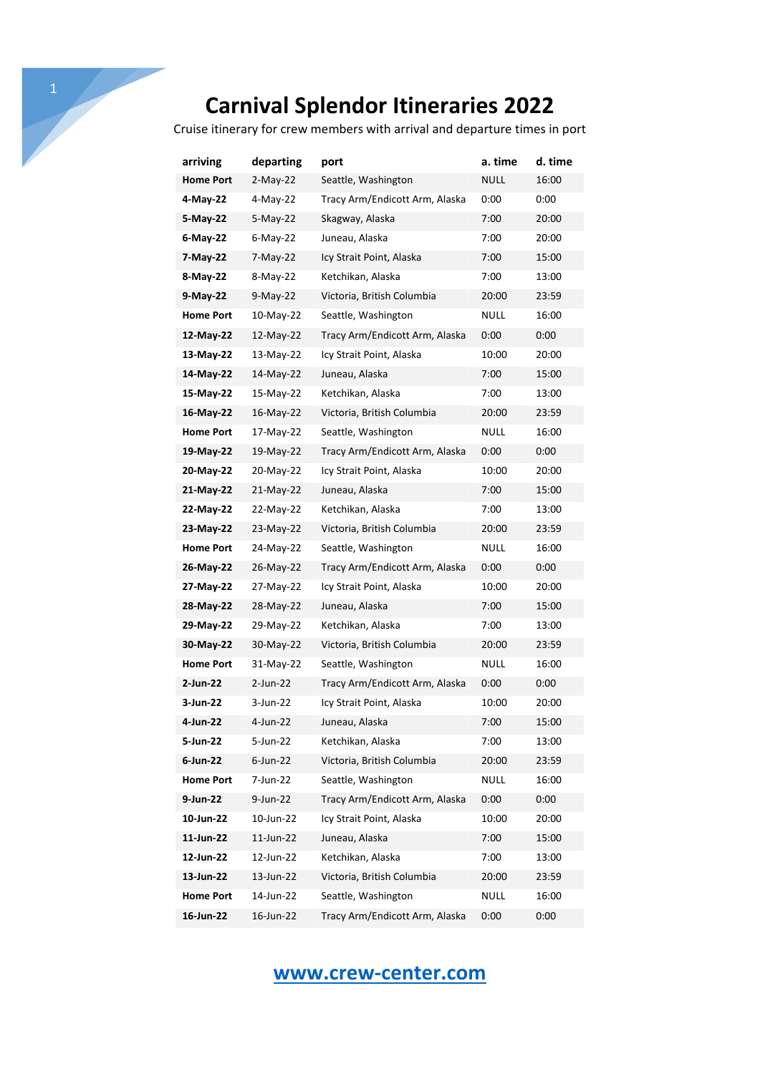Cruise itinerary for crew members with arrival and departure times in port

| arriving         | departing   | port                           | a. time     | d. time |
|------------------|-------------|--------------------------------|-------------|---------|
| <b>Home Port</b> | $2$ -May-22 | Seattle, Washington            | <b>NULL</b> | 16:00   |
| 4-May-22         | 4-May-22    | Tracy Arm/Endicott Arm, Alaska | 0:00        | 0:00    |
| 5-May-22         | 5-May-22    | Skagway, Alaska                | 7:00        | 20:00   |
| 6-May-22         | $6$ -May-22 | Juneau, Alaska                 | 7:00        | 20:00   |
| 7-May-22         | 7-May-22    | Icy Strait Point, Alaska       | 7:00        | 15:00   |
| 8-May-22         | 8-May-22    | Ketchikan, Alaska              | 7:00        | 13:00   |
| 9-May-22         | $9-May-22$  | Victoria, British Columbia     | 20:00       | 23:59   |
| <b>Home Port</b> | 10-May-22   | Seattle, Washington            | <b>NULL</b> | 16:00   |
| 12-May-22        | 12-May-22   | Tracy Arm/Endicott Arm, Alaska | 0:00        | 0:00    |
| 13-May-22        | 13-May-22   | Icy Strait Point, Alaska       | 10:00       | 20:00   |
| 14-May-22        | 14-May-22   | Juneau, Alaska                 | 7:00        | 15:00   |
| 15-May-22        | 15-May-22   | Ketchikan, Alaska              | 7:00        | 13:00   |
| 16-May-22        | 16-May-22   | Victoria, British Columbia     | 20:00       | 23:59   |
| <b>Home Port</b> | 17-May-22   | Seattle, Washington            | NULL        | 16:00   |
| 19-May-22        | 19-May-22   | Tracy Arm/Endicott Arm, Alaska | 0:00        | 0:00    |
| 20-May-22        | 20-May-22   | Icy Strait Point, Alaska       | 10:00       | 20:00   |
| 21-May-22        | 21-May-22   | Juneau, Alaska                 | 7:00        | 15:00   |
| 22-May-22        | 22-May-22   | Ketchikan, Alaska              | 7:00        | 13:00   |
| 23-May-22        | 23-May-22   | Victoria, British Columbia     | 20:00       | 23:59   |
| <b>Home Port</b> | 24-May-22   | Seattle, Washington            | NULL        | 16:00   |
| 26-May-22        | 26-May-22   | Tracy Arm/Endicott Arm, Alaska | 0:00        | 0:00    |
| 27-May-22        | 27-May-22   | Icy Strait Point, Alaska       | 10:00       | 20:00   |
| 28-May-22        | 28-May-22   | Juneau, Alaska                 | 7:00        | 15:00   |
| 29-May-22        | 29-May-22   | Ketchikan, Alaska              | 7:00        | 13:00   |
| 30-May-22        | 30-May-22   | Victoria, British Columbia     | 20:00       | 23:59   |
| <b>Home Port</b> | 31-May-22   | Seattle, Washington            | NULL        | 16:00   |
| 2-Jun-22         | 2-Jun-22    | Tracy Arm/Endicott Arm, Alaska | 0:00        | 0:00    |
| 3-Jun-22         | 3-Jun-22    | Icy Strait Point, Alaska       | 10:00       | 20:00   |
| 4-Jun-22         | 4-Jun-22    | Juneau, Alaska                 | 7:00        | 15:00   |
| 5-Jun-22         | 5-Jun-22    | Ketchikan, Alaska              | 7:00        | 13:00   |
| $6$ -Jun-22      | $6$ -Jun-22 | Victoria, British Columbia     | 20:00       | 23:59   |
| <b>Home Port</b> | 7-Jun-22    | Seattle, Washington            | NULL        | 16:00   |
| 9-Jun-22         | $9$ -Jun-22 | Tracy Arm/Endicott Arm, Alaska | 0:00        | 0:00    |
| 10-Jun-22        | 10-Jun-22   | Icy Strait Point, Alaska       | 10:00       | 20:00   |
| 11-Jun-22        | 11-Jun-22   | Juneau, Alaska                 | 7:00        | 15:00   |
| 12-Jun-22        | 12-Jun-22   | Ketchikan, Alaska              | 7:00        | 13:00   |
| 13-Jun-22        | 13-Jun-22   | Victoria, British Columbia     | 20:00       | 23:59   |
| <b>Home Port</b> | 14-Jun-22   | Seattle, Washington            | <b>NULL</b> | 16:00   |
| 16-Jun-22        | 16-Jun-22   | Tracy Arm/Endicott Arm, Alaska | 0:00        | 0:00    |

## **www.crew-center.com**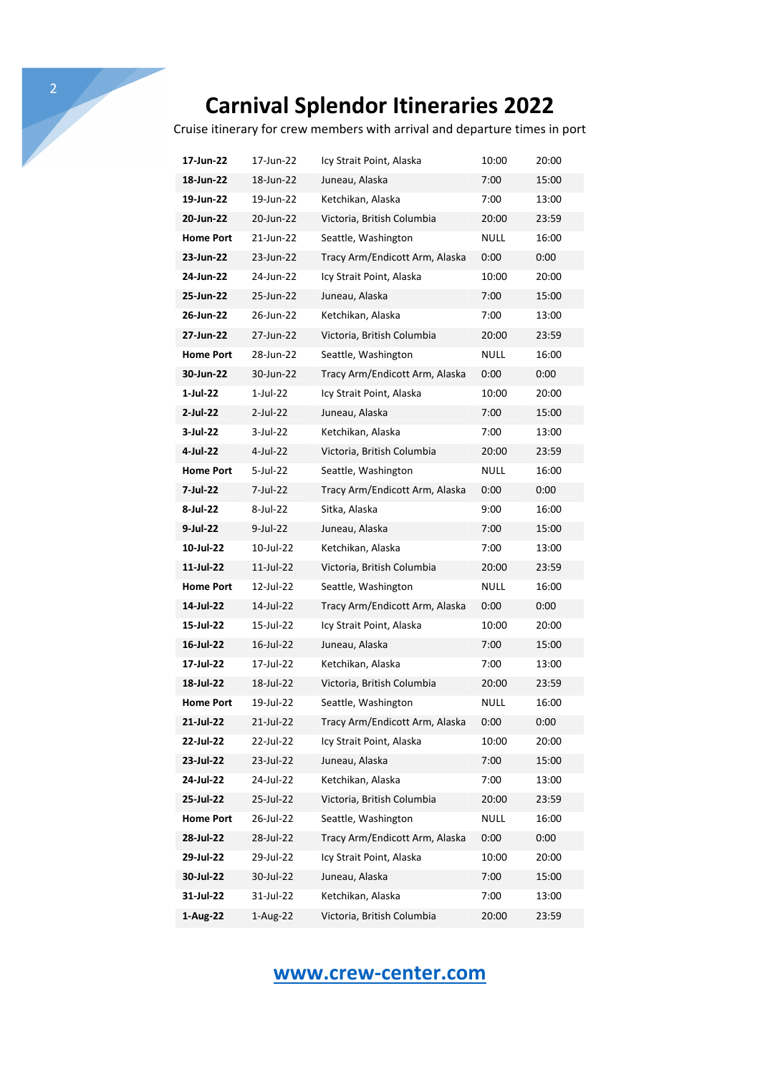Cruise itinerary for crew members with arrival and departure times in port

| 17-Jun-22        | 17-Jun-22   | Icy Strait Point, Alaska       | 10:00       | 20:00 |
|------------------|-------------|--------------------------------|-------------|-------|
| 18-Jun-22        | 18-Jun-22   | Juneau, Alaska                 | 7:00        | 15:00 |
| 19-Jun-22        | 19-Jun-22   | Ketchikan, Alaska              | 7:00        | 13:00 |
| 20-Jun-22        | 20-Jun-22   | Victoria, British Columbia     | 20:00       | 23:59 |
| <b>Home Port</b> | 21-Jun-22   | Seattle, Washington            | NULL        | 16:00 |
| 23-Jun-22        | 23-Jun-22   | Tracy Arm/Endicott Arm, Alaska | 0:00        | 0:00  |
| 24-Jun-22        | 24-Jun-22   | Icy Strait Point, Alaska       | 10:00       | 20:00 |
| 25-Jun-22        | 25-Jun-22   | Juneau, Alaska                 | 7:00        | 15:00 |
| 26-Jun-22        | 26-Jun-22   | Ketchikan, Alaska              | 7:00        | 13:00 |
| 27-Jun-22        | 27-Jun-22   | Victoria, British Columbia     | 20:00       | 23:59 |
| <b>Home Port</b> | 28-Jun-22   | Seattle, Washington            | NULL        | 16:00 |
| 30-Jun-22        | 30-Jun-22   | Tracy Arm/Endicott Arm, Alaska | 0:00        | 0:00  |
| 1-Jul-22         | 1-Jul-22    | Icy Strait Point, Alaska       | 10:00       | 20:00 |
| 2-Jul-22         | 2-Jul-22    | Juneau, Alaska                 | 7:00        | 15:00 |
| 3-Jul-22         | 3-Jul-22    | Ketchikan, Alaska              | 7:00        | 13:00 |
| 4-Jul-22         | 4-Jul-22    | Victoria, British Columbia     | 20:00       | 23:59 |
| <b>Home Port</b> | 5-Jul-22    | Seattle, Washington            | NULL        | 16:00 |
| 7-Jul-22         | 7-Jul-22    | Tracy Arm/Endicott Arm, Alaska | 0:00        | 0:00  |
| 8-Jul-22         | 8-Jul-22    | Sitka, Alaska                  | 9:00        | 16:00 |
| 9-Jul-22         | $9$ -Jul-22 | Juneau, Alaska                 | 7:00        | 15:00 |
| 10-Jul-22        | 10-Jul-22   | Ketchikan, Alaska              | 7:00        | 13:00 |
| 11-Jul-22        | 11-Jul-22   | Victoria, British Columbia     | 20:00       | 23:59 |
| <b>Home Port</b> | 12-Jul-22   | Seattle, Washington            | NULL        | 16:00 |
| 14-Jul-22        | 14-Jul-22   | Tracy Arm/Endicott Arm, Alaska | 0:00        | 0:00  |
| 15-Jul-22        | 15-Jul-22   | Icy Strait Point, Alaska       | 10:00       | 20:00 |
| 16-Jul-22        | 16-Jul-22   | Juneau, Alaska                 | 7:00        | 15:00 |
| 17-Jul-22        | 17-Jul-22   | Ketchikan, Alaska              | 7:00        | 13:00 |
| 18-Jul-22        | 18-Jul-22   | Victoria, British Columbia     | 20:00       | 23:59 |
| <b>Home Port</b> | 19-Jul-22   | Seattle, Washington            | NULL        | 16:00 |
| 21-Jul-22        | 21-Jul-22   | Tracy Arm/Endicott Arm, Alaska | 0:00        | 0:00  |
| 22-Jul-22        | 22-Jul-22   | Icy Strait Point, Alaska       | 10:00       | 20:00 |
| 23-Jul-22        | 23-Jul-22   | Juneau, Alaska                 | 7:00        | 15:00 |
| 24-Jul-22        | 24-Jul-22   | Ketchikan, Alaska              | 7:00        | 13:00 |
| 25-Jul-22        | 25-Jul-22   | Victoria, British Columbia     | 20:00       | 23:59 |
| <b>Home Port</b> | 26-Jul-22   | Seattle, Washington            | <b>NULL</b> | 16:00 |
| 28-Jul-22        | 28-Jul-22   | Tracy Arm/Endicott Arm, Alaska | 0:00        | 0:00  |
| 29-Jul-22        | 29-Jul-22   | Icy Strait Point, Alaska       | 10:00       | 20:00 |
| 30-Jul-22        | 30-Jul-22   | Juneau, Alaska                 | 7:00        | 15:00 |
| 31-Jul-22        | 31-Jul-22   | Ketchikan, Alaska              | 7:00        | 13:00 |
| 1-Aug-22         | 1-Aug-22    | Victoria, British Columbia     | 20:00       | 23:59 |

## **www.crew-center.com**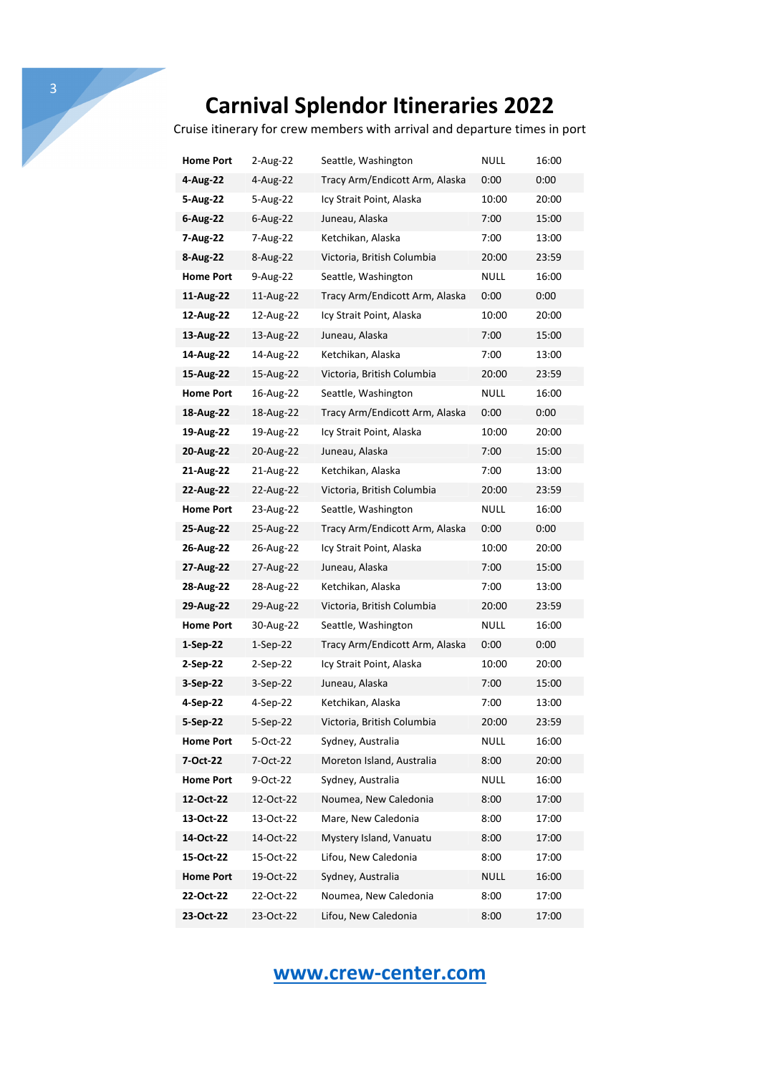Cruise itinerary for crew members with arrival and departure times in port

| Home Port        | 2-Aug-22    | Seattle, Washington            | NULL        | 16:00 |
|------------------|-------------|--------------------------------|-------------|-------|
| 4-Aug-22         | 4-Aug-22    | Tracy Arm/Endicott Arm, Alaska | 0:00        | 0:00  |
| 5-Aug-22         | 5-Aug-22    | Icy Strait Point, Alaska       | 10:00       | 20:00 |
| $6 - Aug-22$     | $6$ -Aug-22 | Juneau, Alaska                 | 7:00        | 15:00 |
| 7-Aug-22         | 7-Aug-22    | Ketchikan, Alaska              | 7:00        | 13:00 |
| 8-Aug-22         | 8-Aug-22    | Victoria, British Columbia     | 20:00       | 23:59 |
| <b>Home Port</b> | 9-Aug-22    | Seattle, Washington            | NULL        | 16:00 |
| 11-Aug-22        | 11-Aug-22   | Tracy Arm/Endicott Arm, Alaska | 0:00        | 0:00  |
| 12-Aug-22        | 12-Aug-22   | Icy Strait Point, Alaska       | 10:00       | 20:00 |
| 13-Aug-22        | 13-Aug-22   | Juneau, Alaska                 | 7:00        | 15:00 |
| 14-Aug-22        | 14-Aug-22   | Ketchikan, Alaska              | 7:00        | 13:00 |
| 15-Aug-22        | 15-Aug-22   | Victoria, British Columbia     | 20:00       | 23:59 |
| <b>Home Port</b> | 16-Aug-22   | Seattle, Washington            | NULL        | 16:00 |
| 18-Aug-22        | 18-Aug-22   | Tracy Arm/Endicott Arm, Alaska | 0:00        | 0:00  |
| 19-Aug-22        | 19-Aug-22   | Icy Strait Point, Alaska       | 10:00       | 20:00 |
| 20-Aug-22        | 20-Aug-22   | Juneau, Alaska                 | 7:00        | 15:00 |
| 21-Aug-22        | 21-Aug-22   | Ketchikan, Alaska              | 7:00        | 13:00 |
| 22-Aug-22        | 22-Aug-22   | Victoria, British Columbia     | 20:00       | 23:59 |
| <b>Home Port</b> | 23-Aug-22   | Seattle, Washington            | NULL        | 16:00 |
| 25-Aug-22        | 25-Aug-22   | Tracy Arm/Endicott Arm, Alaska | 0:00        | 0:00  |
| 26-Aug-22        | 26-Aug-22   | Icy Strait Point, Alaska       | 10:00       | 20:00 |
| 27-Aug-22        | 27-Aug-22   | Juneau, Alaska                 | 7:00        | 15:00 |
| 28-Aug-22        | 28-Aug-22   | Ketchikan, Alaska              | 7:00        | 13:00 |
| 29-Aug-22        | 29-Aug-22   | Victoria, British Columbia     | 20:00       | 23:59 |
| <b>Home Port</b> | 30-Aug-22   | Seattle, Washington            | NULL        | 16:00 |
| 1-Sep-22         | $1-Sep-22$  | Tracy Arm/Endicott Arm, Alaska | 0:00        | 0:00  |
| 2-Sep-22         | 2-Sep-22    | Icy Strait Point, Alaska       | 10:00       | 20:00 |
| 3-Sep-22         | 3-Sep-22    | Juneau, Alaska                 | 7:00        | 15:00 |
| 4-Sep-22         | 4-Sep-22    | Ketchikan, Alaska              | 7:00        | 13:00 |
| 5-Sep-22         | 5-Sep-22    | Victoria, British Columbia     | 20:00       | 23:59 |
| <b>Home Port</b> | 5-Oct-22    | Sydney, Australia              | NULL        | 16:00 |
| 7-Oct-22         | 7-Oct-22    | Moreton Island, Australia      | 8:00        | 20:00 |
| <b>Home Port</b> | 9-Oct-22    | Sydney, Australia              | <b>NULL</b> | 16:00 |
| 12-Oct-22        | 12-Oct-22   | Noumea, New Caledonia          | 8:00        | 17:00 |
| 13-Oct-22        | 13-Oct-22   | Mare, New Caledonia            | 8:00        | 17:00 |
| 14-Oct-22        | 14-Oct-22   | Mystery Island, Vanuatu        | 8:00        | 17:00 |
| 15-Oct-22        | 15-Oct-22   | Lifou, New Caledonia           | 8:00        | 17:00 |
| <b>Home Port</b> | 19-Oct-22   | Sydney, Australia              | NULL        | 16:00 |
| 22-Oct-22        | 22-Oct-22   | Noumea, New Caledonia          | 8:00        | 17:00 |
| 23-Oct-22        | 23-Oct-22   | Lifou, New Caledonia           | 8:00        | 17:00 |

## **www.crew-center.com**